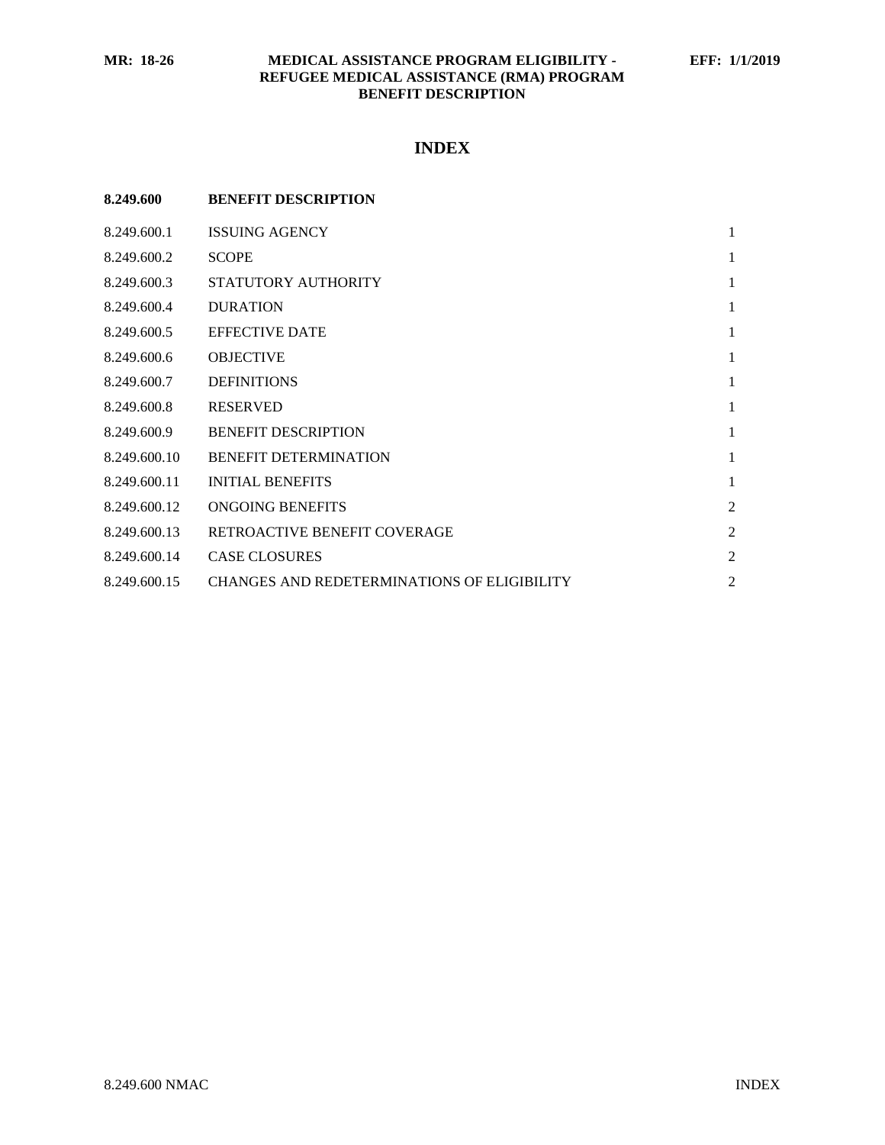### **MR: 18-26 MEDICAL ASSISTANCE PROGRAM ELIGIBILITY - EFF: 1/1/2019 REFUGEE MEDICAL ASSISTANCE (RMA) PROGRAM BENEFIT DESCRIPTION**

# **INDEX**

| 8.249.600    | <b>BENEFIT DESCRIPTION</b>                  |                |
|--------------|---------------------------------------------|----------------|
| 8.249.600.1  | <b>ISSUING AGENCY</b>                       | 1              |
| 8.249.600.2  | <b>SCOPE</b>                                | 1              |
| 8.249.600.3  | STATUTORY AUTHORITY                         | $\mathbf{1}$   |
| 8.249.600.4  | <b>DURATION</b>                             | $\mathbf{1}$   |
| 8.249.600.5  | <b>EFFECTIVE DATE</b>                       | $\mathbf{1}$   |
| 8.249.600.6  | <b>OBJECTIVE</b>                            | $\mathbf{1}$   |
| 8.249.600.7  | <b>DEFINITIONS</b>                          | $\mathbf{1}$   |
| 8.249.600.8  | <b>RESERVED</b>                             | $\mathbf{1}$   |
| 8.249.600.9  | <b>BENEFIT DESCRIPTION</b>                  | 1              |
| 8.249.600.10 | <b>BENEFIT DETERMINATION</b>                | 1              |
| 8.249.600.11 | <b>INITIAL BENEFITS</b>                     | $\mathbf{1}$   |
| 8.249.600.12 | ONGOING BENEFITS                            | $\overline{2}$ |
| 8.249.600.13 | RETROACTIVE BENEFIT COVERAGE                | $\overline{2}$ |
| 8.249.600.14 | <b>CASE CLOSURES</b>                        | 2              |
| 8.249.600.15 | CHANGES AND REDETERMINATIONS OF ELIGIBILITY | 2              |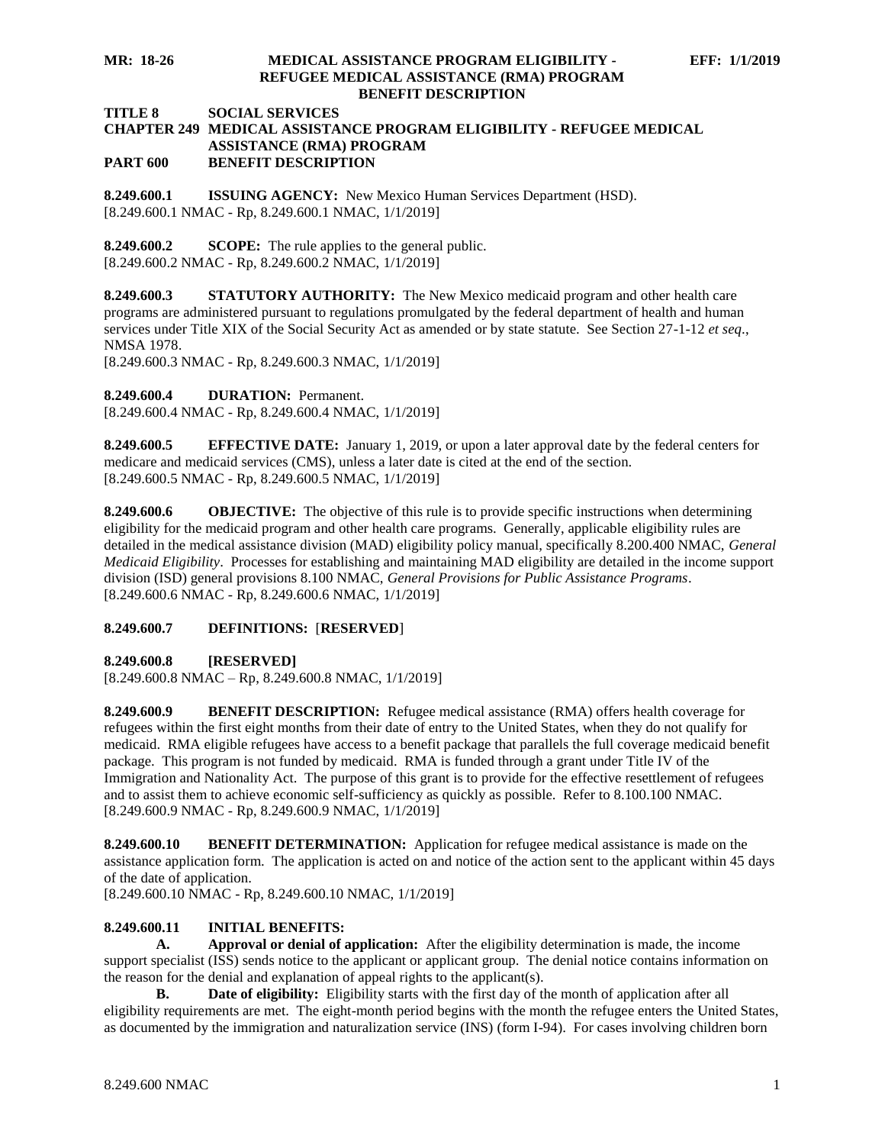#### **MR: 18-26 MEDICAL ASSISTANCE PROGRAM ELIGIBILITY - EFF: 1/1/2019 REFUGEE MEDICAL ASSISTANCE (RMA) PROGRAM BENEFIT DESCRIPTION**

#### **TITLE 8 SOCIAL SERVICES**

#### **CHAPTER 249 MEDICAL ASSISTANCE PROGRAM ELIGIBILITY - REFUGEE MEDICAL ASSISTANCE (RMA) PROGRAM PART 600 BENEFIT DESCRIPTION**

<span id="page-1-0"></span>**8.249.600.1 ISSUING AGENCY:** New Mexico Human Services Department (HSD). [8.249.600.1 NMAC - Rp, 8.249.600.1 NMAC, 1/1/2019]

<span id="page-1-1"></span>**8.249.600.2 SCOPE:** The rule applies to the general public. [8.249.600.2 NMAC - Rp, 8.249.600.2 NMAC, 1/1/2019]

<span id="page-1-2"></span>**8.249.600.3 STATUTORY AUTHORITY:** The New Mexico medicaid program and other health care programs are administered pursuant to regulations promulgated by the federal department of health and human services under Title XIX of the Social Security Act as amended or by state statute. See Section 27-1-12 *et seq*., NMSA 1978.

[8.249.600.3 NMAC - Rp, 8.249.600.3 NMAC, 1/1/2019]

<span id="page-1-3"></span>**8.249.600.4 DURATION:** Permanent.

[8.249.600.4 NMAC - Rp, 8.249.600.4 NMAC, 1/1/2019]

<span id="page-1-4"></span>**8.249.600.5 EFFECTIVE DATE:** January 1, 2019, or upon a later approval date by the federal centers for medicare and medicaid services (CMS), unless a later date is cited at the end of the section. [8.249.600.5 NMAC - Rp, 8.249.600.5 NMAC, 1/1/2019]

<span id="page-1-5"></span>**8.249.600.6 OBJECTIVE:** The objective of this rule is to provide specific instructions when determining eligibility for the medicaid program and other health care programs. Generally, applicable eligibility rules are detailed in the medical assistance division (MAD) eligibility policy manual, specifically 8.200.400 NMAC, *General Medicaid Eligibility*. Processes for establishing and maintaining MAD eligibility are detailed in the income support division (ISD) general provisions 8.100 NMAC, *General Provisions for Public Assistance Programs*. [8.249.600.6 NMAC - Rp, 8.249.600.6 NMAC, 1/1/2019]

#### <span id="page-1-6"></span>**8.249.600.7 DEFINITIONS:** [**RESERVED**]

<span id="page-1-7"></span>**8.249.600.8 [RESERVED]**

 $[8.249.600.8 \text{ NMAC} - \text{Rp}, 8.249.600.8 \text{ NMAC}, 1/1/2019]$ 

<span id="page-1-8"></span>**8.249.600.9 BENEFIT DESCRIPTION:** Refugee medical assistance (RMA) offers health coverage for refugees within the first eight months from their date of entry to the United States, when they do not qualify for medicaid. RMA eligible refugees have access to a benefit package that parallels the full coverage medicaid benefit package. This program is not funded by medicaid. RMA is funded through a grant under Title IV of the Immigration and Nationality Act. The purpose of this grant is to provide for the effective resettlement of refugees and to assist them to achieve economic self-sufficiency as quickly as possible. Refer to 8.100.100 NMAC. [8.249.600.9 NMAC - Rp, 8.249.600.9 NMAC, 1/1/2019]

<span id="page-1-9"></span>**8.249.600.10 BENEFIT DETERMINATION:** Application for refugee medical assistance is made on the assistance application form. The application is acted on and notice of the action sent to the applicant within 45 days of the date of application.

[8.249.600.10 NMAC - Rp, 8.249.600.10 NMAC, 1/1/2019]

### <span id="page-1-10"></span>**8.249.600.11 INITIAL BENEFITS:**

**A. Approval or denial of application:** After the eligibility determination is made, the income support specialist (ISS) sends notice to the applicant or applicant group. The denial notice contains information on the reason for the denial and explanation of appeal rights to the applicant(s).

**B. Date of eligibility:** Eligibility starts with the first day of the month of application after all eligibility requirements are met. The eight-month period begins with the month the refugee enters the United States, as documented by the immigration and naturalization service (INS) (form I-94). For cases involving children born